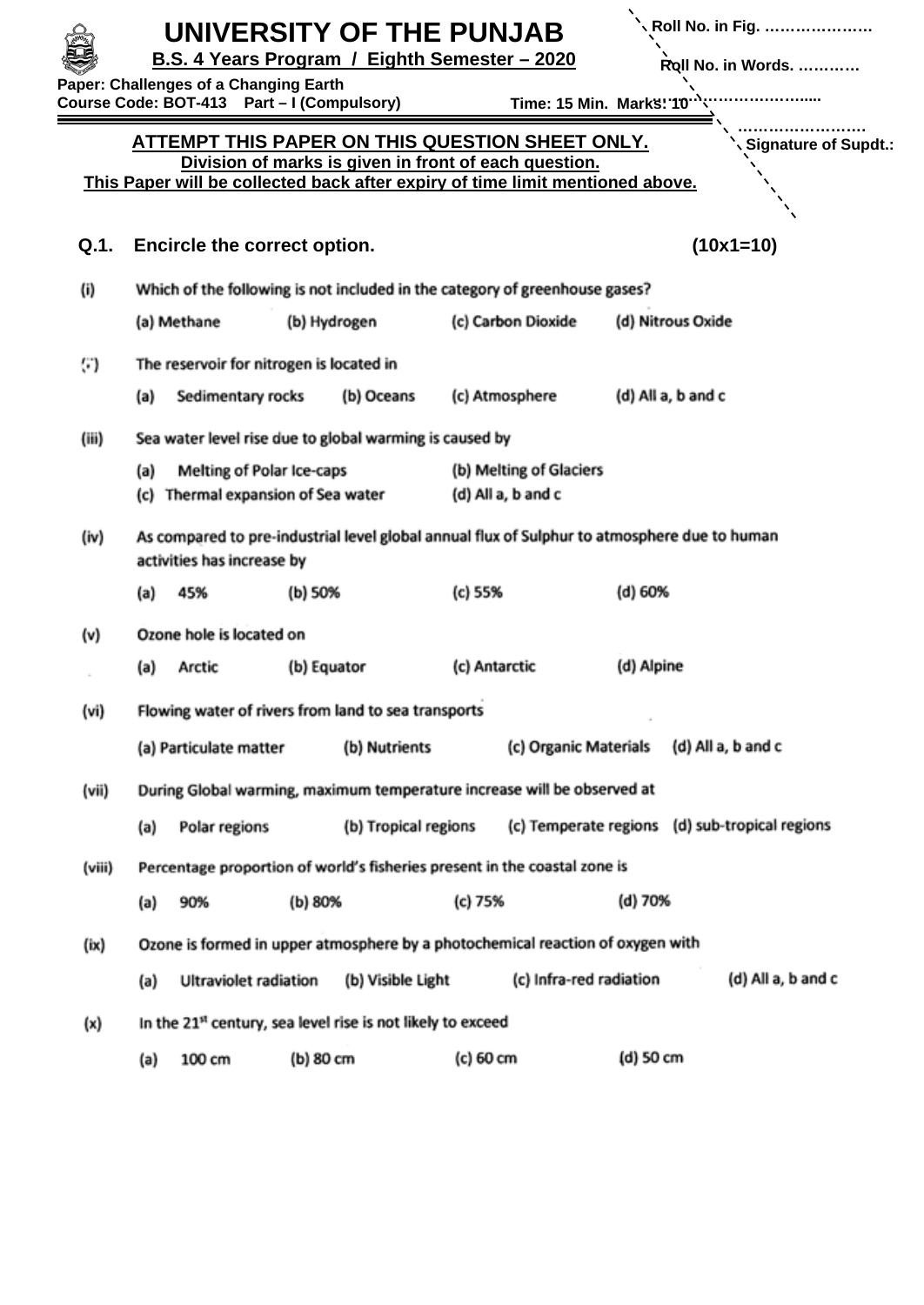